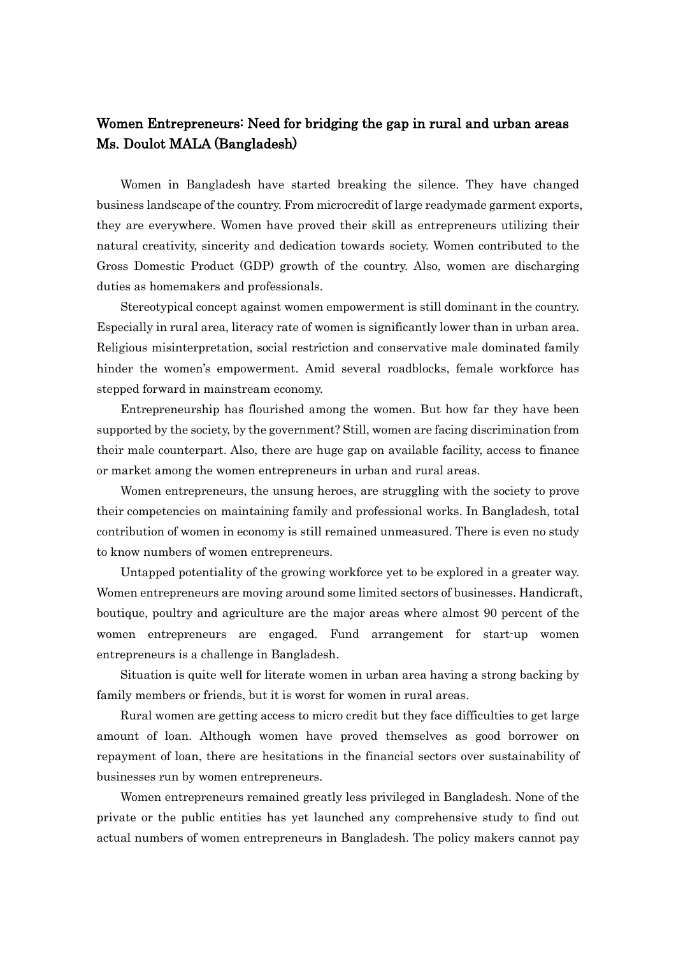## Women Entrepreneurs: Need for bridging the gap in rural and urban areas Ms. Doulot MALA (Bangladesh)

Women in Bangladesh have started breaking the silence. They have changed business landscape of the country. From microcredit of large readymade garment exports, they are everywhere. Women have proved their skill as entrepreneurs utilizing their natural creativity, sincerity and dedication towards society. Women contributed to the Gross Domestic Product (GDP) growth of the country. Also, women are discharging duties as homemakers and professionals.

Stereotypical concept against women empowerment is still dominant in the country. Especially in rural area, literacy rate of women is significantly lower than in urban area. Religious misinterpretation, social restriction and conservative male dominated family hinder the women's empowerment. Amid several roadblocks, female workforce has stepped forward in mainstream economy.

Entrepreneurship has flourished among the women. But how far they have been supported by the society, by the government? Still, women are facing discrimination from their male counterpart. Also, there are huge gap on available facility, access to finance or market among the women entrepreneurs in urban and rural areas.

Women entrepreneurs, the unsung heroes, are struggling with the society to prove their competencies on maintaining family and professional works. In Bangladesh, total contribution of women in economy is still remained unmeasured. There is even no study to know numbers of women entrepreneurs.

Untapped potentiality of the growing workforce yet to be explored in a greater way. Women entrepreneurs are moving around some limited sectors of businesses. Handicraft, boutique, poultry and agriculture are the major areas where almost 90 percent of the women entrepreneurs are engaged. Fund arrangement for start-up women entrepreneurs is a challenge in Bangladesh.

Situation is quite well for literate women in urban area having a strong backing by family members or friends, but it is worst for women in rural areas.

Rural women are getting access to micro credit but they face difficulties to get large amount of loan. Although women have proved themselves as good borrower on repayment of loan, there are hesitations in the financial sectors over sustainability of businesses run by women entrepreneurs.

Women entrepreneurs remained greatly less privileged in Bangladesh. None of the private or the public entities has yet launched any comprehensive study to find out actual numbers of women entrepreneurs in Bangladesh. The policy makers cannot pay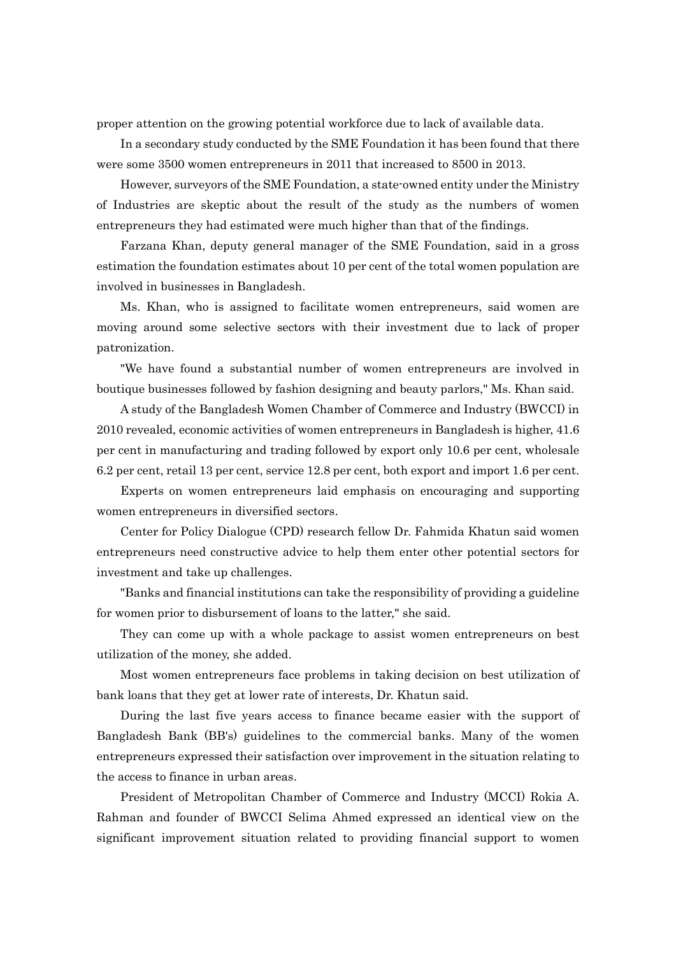proper attention on the growing potential workforce due to lack of available data.

In a secondary study conducted by the SME Foundation it has been found that there were some 3500 women entrepreneurs in 2011 that increased to 8500 in 2013.

However, surveyors of the SME Foundation, a state-owned entity under the Ministry of Industries are skeptic about the result of the study as the numbers of women entrepreneurs they had estimated were much higher than that of the findings.

Farzana Khan, deputy general manager of the SME Foundation, said in a gross estimation the foundation estimates about 10 per cent of the total women population are involved in businesses in Bangladesh.

Ms. Khan, who is assigned to facilitate women entrepreneurs, said women are moving around some selective sectors with their investment due to lack of proper patronization.

"We have found a substantial number of women entrepreneurs are involved in boutique businesses followed by fashion designing and beauty parlors," Ms. Khan said.

A study of the Bangladesh Women Chamber of Commerce and Industry (BWCCI) in 2010 revealed, economic activities of women entrepreneurs in Bangladesh is higher, 41.6 per cent in manufacturing and trading followed by export only 10.6 per cent, wholesale 6.2 per cent, retail 13 per cent, service 12.8 per cent, both export and import 1.6 per cent.

Experts on women entrepreneurs laid emphasis on encouraging and supporting women entrepreneurs in diversified sectors.

Center for Policy Dialogue (CPD) research fellow Dr. Fahmida Khatun said women entrepreneurs need constructive advice to help them enter other potential sectors for investment and take up challenges.

"Banks and financial institutions can take the responsibility of providing a guideline for women prior to disbursement of loans to the latter," she said.

They can come up with a whole package to assist women entrepreneurs on best utilization of the money, she added.

Most women entrepreneurs face problems in taking decision on best utilization of bank loans that they get at lower rate of interests, Dr. Khatun said.

During the last five years access to finance became easier with the support of Bangladesh Bank (BB's) guidelines to the commercial banks. Many of the women entrepreneurs expressed their satisfaction over improvement in the situation relating to the access to finance in urban areas.

President of Metropolitan Chamber of Commerce and Industry (MCCI) Rokia A. Rahman and founder of BWCCI Selima Ahmed expressed an identical view on the significant improvement situation related to providing financial support to women